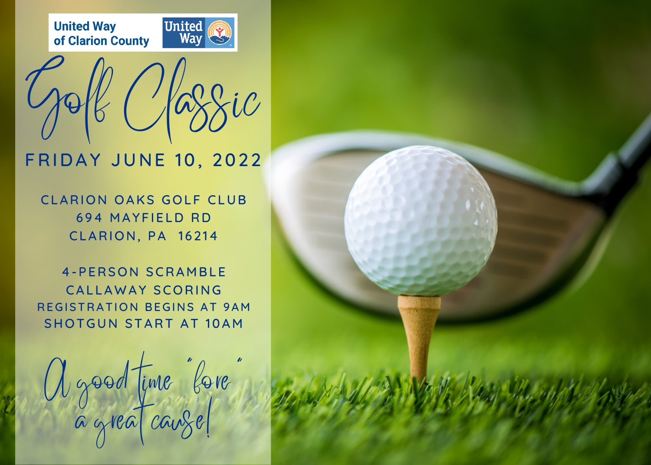



## **FRIDAY JUNE 10, 2022**

CLARION OAKS GOLF CLUB 694 MAYFIELD RD **CLARION, PA 16214** 

**4-PERSON SCRAMBLE** CALLAWAY SCORING REGISTRATION BEGINS AT 9AM SHOTGUN START AT 10AM

A good time "fore" a great cauze!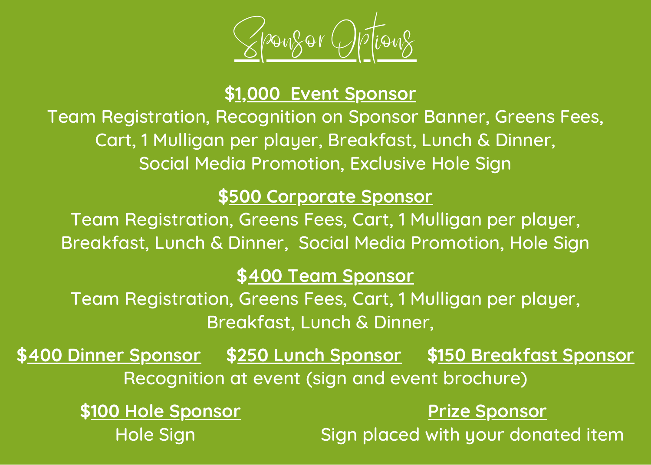

## **\$1,000 Event Sponsor**

Team Registration, Recognition on Sponsor Banner, Greens Fees, Cart, 1 Mulligan per player, Breakfast, Lunch & Dinner, Social Media Promotion, Exclusive Hole Sign

## **\$500 Corporate Sponsor**

Team Registration, Greens Fees, Cart, 1 Mulligan per player, Breakfast, Lunch & Dinner, Social Media Promotion, Hole Sign

## **\$400 Team Sponsor**

Team Registration, Greens Fees, Cart, 1 Mulligan per player, Breakfast, Lunch & Dinner,

**\$400 Dinner Sponsor \$250 Lunch Sponsor \$150 Breakfast Sponsor** Recognition at event (sign and event brochure)

**\$100 Hole Sponsor Prize Sponsor** Hole Sign Note Sign placed with your donated item